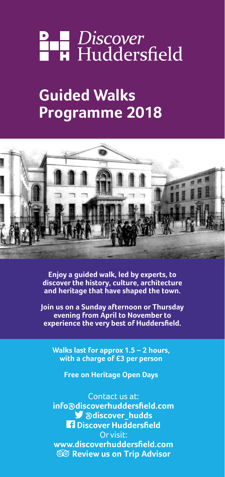# **P B** Discover<br>**B H** Huddersfield

# **Guided Walks Programme 2018**



**Enjoy a guided walk, led by experts, to discover the history, culture, architecture and heritage that have shaped the town.**

**Join us on a Sunday afternoon or Thursday evening from April to November to experience the very best of Huddersfield.**

**Walks last for approx 1.5 – 2 hours, with a charge of £3 per person**

**Free on Heritage Open Days**

Contact us at: **info@discoverhuddersfield.com @discover\_hudds** *<u>A</u>* Discover Huddersfield Or visit: **www.discoverhuddersfield.com Review us on Trip Advisor**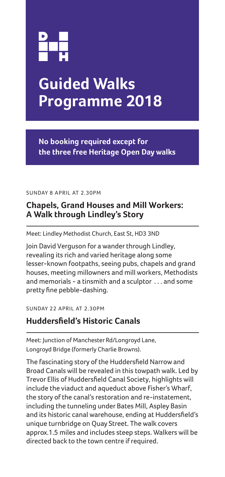

# **Guided Walks Programme 2018**

**No booking required except for the three free Heritage Open Day walks**

SUNDAY 8 APRIL AT 2.30PM

# **Chapels, Grand Houses and Mill Workers: A Walk through Lindley's Story**

Meet: Lindley Methodist Church, East St, HD3 3ND

Join David Verguson for a wander through Lindley, revealing its rich and varied heritage along some lesser-known footpaths, seeing pubs, chapels and grand houses, meeting millowners and mill workers, Methodists and memorials - a tinsmith and a sculptor . . . and some pretty fine pebble-dashing.

SUNDAY 22 APRIL AT 2.30PM

## **Huddersfield's Historic Canals**

Meet: Junction of Manchester Rd/Longroyd Lane, Longroyd Bridge (formerly Charlie Browns).

The fascinating story of the Huddersfield Narrow and Broad Canals will be revealed in this towpath walk. Led by Trevor Ellis of Huddersfield Canal Society, highlights will include the viaduct and aqueduct above Fisher's Wharf, the story of the canal's restoration and re-instatement, including the tunneling under Bates Mill, Aspley Basin and its historic canal warehouse, ending at Huddersfield's unique turnbridge on Quay Street. The walk covers approx.1.5 miles and includes steep steps. Walkers will be directed back to the town centre if required.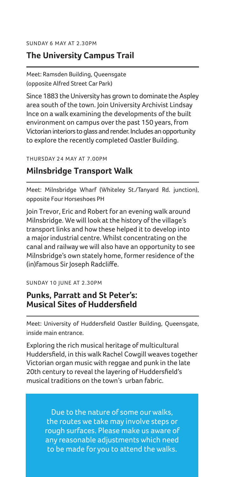SUNDAY 6 MAY AT 2.30PM

### **The University Campus Trail**

Meet: Ramsden Building, Queensgate (opposite Alfred Street Car Park)

Since 1883 the University has grown to dominate the Aspley area south of the town. Join University Archivist Lindsay Ince on a walk examining the developments of the built environment on campus over the past 150 years, from Victorian interiors to glass and render. Includes an opportunity to explore the recently completed Oastler Building.

THURSDAY 24 MAY AT 7.00PM

### **Milnsbridge Transport Walk**

Meet: Milnsbridge Wharf (Whiteley St./Tanyard Rd. junction), opposite Four Horseshoes PH

Join Trevor, Eric and Robert for an evening walk around Milnsbridge. We will look at the history of the village's transport links and how these helped it to develop into a major industrial centre. Whilst concentrating on the canal and railway we will also have an opportunity to see Milnsbridge's own stately home, former residence of the (in)famous Sir Joseph Radcliffe.

SUNDAY 10 JUNE AT 2.30PM

### **Punks, Parratt and St Peter's: Musical Sites of Huddersfield**

Meet: University of Huddersfield Oastler Building, Queensgate, inside main entrance.

Exploring the rich musical heritage of multicultural Huddersfield, in this walk Rachel Cowgill weaves together Victorian organ music with reggae and punk in the late 20th century to reveal the layering of Huddersfield's musical traditions on the town's urban fabric.

> Due to the nature of some our walks, the routes we take may involve steps or rough surfaces. Please make us aware of any reasonable adjustments which need to be made for you to attend the walks.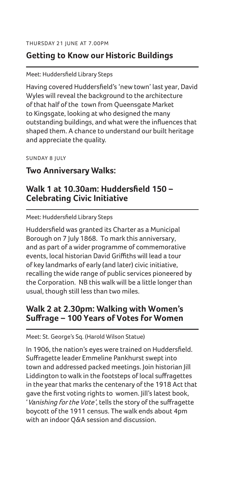# **Getting to Know our Historic Buildings**

### Meet: Huddersfield Library Steps

Having covered Huddersfield's 'new town' last year, David Wyles will reveal the background to the architecture of that half of the town from Queensgate Market to Kingsgate, looking at who designed the many outstanding buildings, and what were the influences that shaped them. A chance to understand our built heritage and appreciate the quality.

SUNDAY 8 JULY

### **Two Anniversary Walks:**

## **Walk 1 at 10.30am: Huddersfield 150 – Celebrating Civic Initiative**

Meet: Huddersfield Library Steps

Huddersfield was granted its Charter as a Municipal Borough on 7 July 1868. To mark this anniversary, and as part of a wider programme of commemorative events, local historian David Griffiths will lead a tour of key landmarks of early (and later) civic initiative, recalling the wide range of public services pioneered by the Corporation. NB this walk will be a little longer than usual, though still less than two miles.

### **Walk 2 at 2.30pm: Walking with Women's Suffrage – 100 Years of Votes for Women**

Meet: St. George's Sq. (Harold Wilson Statue)

In 1906, the nation's eyes were trained on Huddersfield. Suffragette leader Emmeline Pankhurst swept into town and addressed packed meetings. Join historian Jill Liddington to walk in the footsteps of local suffragettes in the year that marks the centenary of the 1918 Act that gave the first voting rights to women. Jill's latest book, 'Vanishing for the Vote', tells the story of the suffragette boycott of the 1911 census. The walk ends about 4pm with an indoor Q&A session and discussion.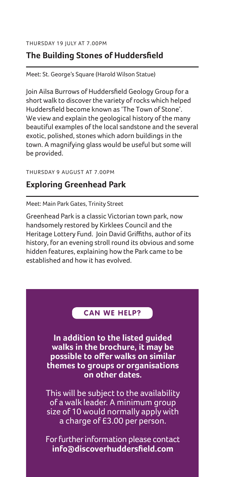# **The Building Stones of Huddersfield**

Meet: St. George's Square (Harold Wilson Statue)

Join Ailsa Burrows of Huddersfield Geology Group for a short walk to discover the variety of rocks which helped Huddersfield become known as 'The Town of Stone'. We view and explain the geological history of the many beautiful examples of the local sandstone and the several exotic, polished, stones which adorn buildings in the town. A magnifying glass would be useful but some will be provided.

### THURSDAY 9 AUGUST AT 7.00PM

# **Exploring Greenhead Park**

Meet: Main Park Gates, Trinity Street

Greenhead Park is a classic Victorian town park, now handsomely restored by Kirklees Council and the Heritage Lottery Fund. Join David Griffiths, author of its history, for an evening stroll round its obvious and some hidden features, explaining how the Park came to be established and how it has evolved.

### **CAN WE HELP?**

**In addition to the listed guided walks in the brochure, it may be possible to offer walks on similar themes to groups or organisations on other dates.**

This will be subject to the availability of a walk leader. A minimum group size of 10 would normally apply with a charge of £3.00 per person.

For further information please contact **info@discoverhuddersfield.com**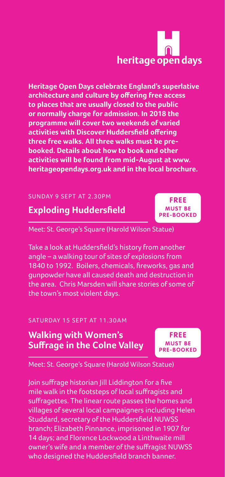# heritage open days

**Heritage Open Days celebrate England's superlative architecture and culture by offering free access to places that are usually closed to the public or normally charge for admission. In 2018 the programme will cover two weekends of varied activities with Discover Huddersfield offering three free walks. All three walks must be prebooked. Details about how to book and other activities will be found from mid-August at www. heritageopendays.org.uk and in the local brochure.**

### SUNDAY 9 SEPT AT 2.30PM

# **Exploding Huddersfield**

Meet: St. George's Square (Harold Wilson Statue)

Take a look at Huddersfield's history from another angle – a walking tour of sites of explosions from 1840 to 1992. Boilers, chemicals, fireworks, gas and gunpowder have all caused death and destruction in the area. Chris Marsden will share stories of some of the town's most violent days.

### SATURDAY 15 SEPT AT 11.30AM

# **Walking with Women's Suffrage in the Colne Valley**

**FREE MUST BE PRE-BOOKED**

Meet: St. George's Square (Harold Wilson Statue)

Join suffrage historian Jill Liddington for a five mile walk in the footsteps of local suffragists and suffragettes. The linear route passes the homes and villages of several local campaigners including Helen Studdard, secretary of the Huddersfield NUWSS branch; Elizabeth Pinnance, imprisoned in 1907 for 14 days; and Florence Lockwood a Linthwaite mill owner's wife and a member of the suffragist NUWSS who designed the Huddersfield branch banner.

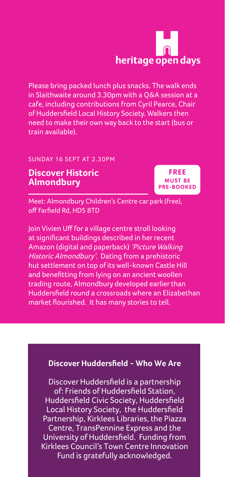# heritage open days

Please bring packed lunch plus snacks. The walk ends in Slaithwaite around 3.30pm with a Q&A session at a cafe, including contributions from Cyril Pearce, Chair of Huddersfield Local History Society. Walkers then need to make their own way back to the start (bus or train available).

### SUNDAY 16 SEPT AT 2.30PM

### **Discover Historic Almondbury**

**FREE MUST BE PRE-BOOKED**

Meet: Almondbury Children's Centre car park (free), off Farfield Rd, HD5 8TD

Join Vivien Uff for a village centre stroll looking at significant buildings described in her recent Amazon (digital and paperback) 'Picture Walking Historic Almondbury'. Dating from a prehistoric hut settlement on top of its well-known Castle Hill and benefitting from lying on an ancient woollen trading route, Almondbury developed earlier than Huddersfield round a crossroads where an Elizabethan market flourished. It has many stories to tell.

### **Discover Huddersfield - Who We Are**

Discover Huddersfield is a partnership of: Friends of Huddersfield Station, Huddersfield Civic Society, Huddersfield Local History Society, the Huddersfield Partnership, Kirklees Libraries, the Piazza Centre, TransPennine Express and the University of Huddersfield. Funding from Kirklees Council's Town Centre Innovation Fund is gratefully acknowledged.